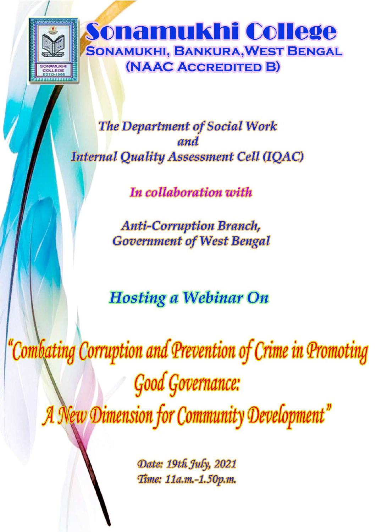

**The Department of Social Work** and **Internal Quality Assessment Cell (IQAC)** 

In collaboration with

**Anti-Corruption Branch, Government of West Bengal** 

**Hosting a Webinar On** 

Combating Corruption and Prevention of Crime in Promoting **Good Governance:** A New Dimension for Community Development"

> Date: 19th July, 2021 Time: 11a.m.-1.50p.m.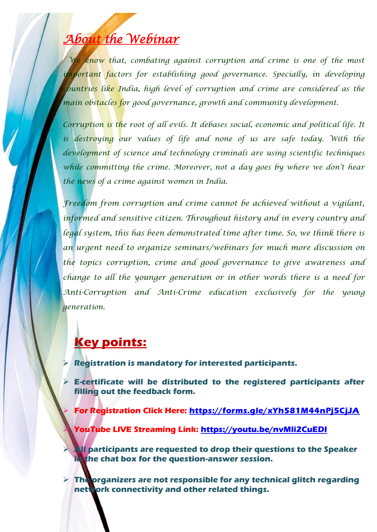## *About the Webinar*

*We know that, combating against corruption and crime is one of the most important factors for establishing good governance. Specially, in developing countries like India, high level of corruption and crime are considered as the main obstacles for good governance, growth and community development.* 

*Corruption is the root of all evils. It debases social, economic and political life. It*  is destroying our values of life and none of us are safe today. With the *development of science and technology criminals are using scientific techniques while committing the crime. Moreover, not a day goes by where we don't hear the news of a crime against women in India.* 

*Freedom from corruption and crime cannot be achieved without a vigilant, informed and sensitive citizen. Throughout history and in every country and legal system, this has been demonstrated time after time. So, we think there is an urgent need to organize seminars/webinars for much more discussion on the topics corruption, crime and good governance to give awareness and change to all the younger generation or in other words there is a need for Anti-Corruption and Anti-Crime education exclusively for the young generation.*

## **Key points:**

**Registration is mandatory for interested participants.**

 **E-certificate will be distributed to the registered participants after filling out the feedback form.**

**For Registration Click Here: <https://forms.gle/xYh581M44nPj5CjJA>**

**YouTube LIVE Streaming Link:<https://youtu.be/nvMli2CuEDI>**

 **All participants are requested to drop their questions to the Speaker in the chat box for the question-answer session.**

**Figure 7 The organizers are not responsible for any technical glitch regarding network connectivity and other related things.**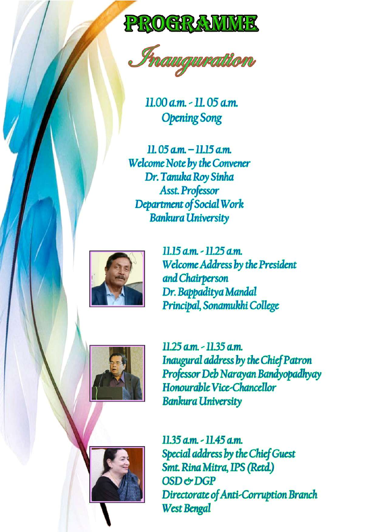



 $11.00$  a.m.  $-11.05$  a.m. **Opening Song** 

 $11.05$  am  $-11.15$  am **Welcome Note by the Convener** Dr. Tanuka Roy Sinha **Asst. Professor** Department of Social Work **Bankura University** 



11.15 a.m. - 11.25 a.m. **Welcome Address by the President** and Chairperson Dr. Bappaditya Mandal Principal, Sonamukhi College



11.25 a.m. - 11.35 a.m. Inaugural address by the Chief Patron Professor Deb Narayan Bandyopadhyay Honourable Vice-Chancellor **Bankura University** 



 $11.35$  a.m.  $-11.45$  a.m. Special address by the Chief Guest Smt. Rina Mitra, IPS (Retd.) OSD & DGP Directorate of Anti-Corruption Branch **West Bengal**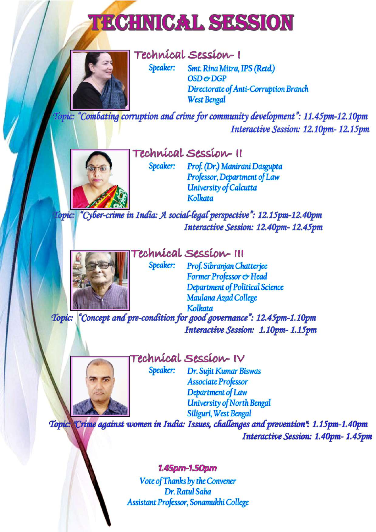# **TECHNICAL SESSION**



Technical Session-1

Speaker:

Smt. Rina Mitra, IPS (Retd.) OSD & DGP Directorate of Anti-Corruption Branch **West Bengal** 

Topic: "Combating corruption and crime for community development": 11.45pm-12.10pm Interactive Session: 12.10pm-12.15pm



Technical Session-II

Speaker:

Speaker: Prof. (Dr.) Manirani Dasgupta Professor, Department of Law **University of Calcutta Kolkata** 

Topic: "Cyber-crime in India: A social-legal perspective": 12.15pm-12.40pm Interactive Session: 12.40pm-12.45pm



Fechnical Session-III

Prof. Sibranjan Chatterjee Former Professor & Head **Department of Political Science** Maulana Azad College **Kolkata** 

Topic: "Concept and pre-condition for good governance": 12.45pm-1.10pm Interactive Session: 1.10pm-1.15pm



Technical Session-IV

Speaker: Dr. Sujit Kumar Biswas **Associate Professor** Department of Law **University of North Bengal** Siliguri, West Bengal

Topic. Crime against women in India: Issues, challenges and prevention": 1.15pm-1.40pm Interactive Session: 1.40pm-1.45pm

#### 1.45pm-1.50pm

Vote of Thanks by the Convener Dr. Ratul Saha Assistant Professor, Sonamukhi College